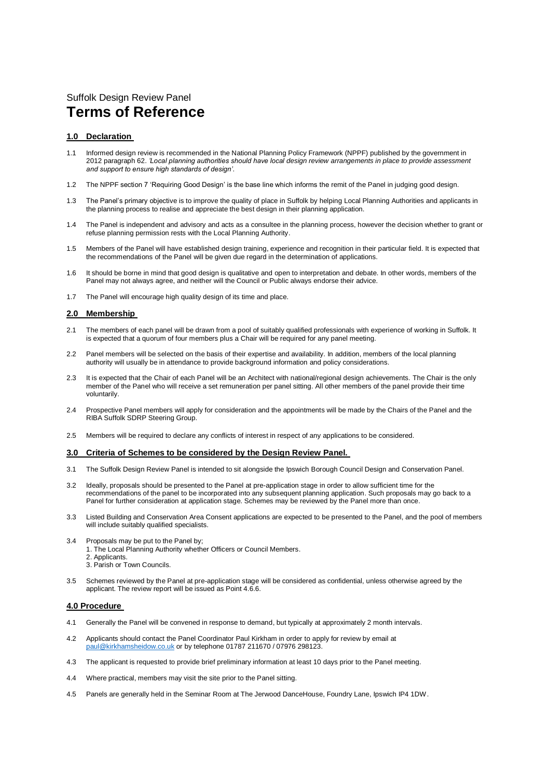# Suffolk Design Review Panel **Terms of Reference**

### **1.0 Declaration**

- 1.1 Informed design review is recommended in the National Planning Policy Framework (NPPF) published by the government in 2012 paragraph 62. *'Local planning authorities should have local design review arrangements in place to provide assessment and support to ensure high standards of design'*.
- 1.2 The NPPF section 7 'Requiring Good Design' is the base line which informs the remit of the Panel in judging good design.
- 1.3 The Panel's primary objective is to improve the quality of place in Suffolk by helping Local Planning Authorities and applicants in the planning process to realise and appreciate the best design in their planning application.
- 1.4 The Panel is independent and advisory and acts as a consultee in the planning process, however the decision whether to grant or refuse planning permission rests with the Local Planning Authority.
- 1.5 Members of the Panel will have established design training, experience and recognition in their particular field. It is expected that the recommendations of the Panel will be given due regard in the determination of applications.
- 1.6 It should be borne in mind that good design is qualitative and open to interpretation and debate. In other words, members of the Panel may not always agree, and neither will the Council or Public always endorse their advice.
- 1.7 The Panel will encourage high quality design of its time and place.

### **2.0 Membership**

- 2.1 The members of each panel will be drawn from a pool of suitably qualified professionals with experience of working in Suffolk. It is expected that a quorum of four members plus a Chair will be required for any panel meeting.
- 2.2 Panel members will be selected on the basis of their expertise and availability. In addition, members of the local planning authority will usually be in attendance to provide background information and policy considerations.
- 2.3 It is expected that the Chair of each Panel will be an Architect with national/regional design achievements. The Chair is the only member of the Panel who will receive a set remuneration per panel sitting. All other members of the panel provide their time voluntarily.
- 2.4 Prospective Panel members will apply for consideration and the appointments will be made by the Chairs of the Panel and the RIBA Suffolk SDRP Steering Group.
- 2.5 Members will be required to declare any conflicts of interest in respect of any applications to be considered.

#### **3.0 Criteria of Schemes to be considered by the Design Review Panel.**

- 3.1 The Suffolk Design Review Panel is intended to sit alongside the Ipswich Borough Council Design and Conservation Panel.
- 3.2 Ideally, proposals should be presented to the Panel at pre-application stage in order to allow sufficient time for the recommendations of the panel to be incorporated into any subsequent planning application. Such proposals may go back to a Panel for further consideration at application stage. Schemes may be reviewed by the Panel more than once.
- 3.3 Listed Building and Conservation Area Consent applications are expected to be presented to the Panel, and the pool of members will include suitably qualified specialists.
- 3.4 Proposals may be put to the Panel by;
	- 1. The Local Planning Authority whether Officers or Council Members.
	- 2. Applicants
	- 3. Parish or Town Councils.
- 3.5 Schemes reviewed by the Panel at pre-application stage will be considered as confidential, unless otherwise agreed by the applicant. The review report will be issued as Point 4.6.6.

#### **4.0 Procedure**

- 4.1 Generally the Panel will be convened in response to demand, but typically at approximately 2 month intervals.
- 4.2 Applicants should contact the Panel Coordinator Paul Kirkham in order to apply for review by email at [paul@kirkhamsheidow.co.uk](mailto:paul@kirkhamsheidow.co.uk) or by telephone 01787 211670 / 07976 298123.
- 4.3 The applicant is requested to provide brief preliminary information at least 10 days prior to the Panel meeting.
- 4.4 Where practical, members may visit the site prior to the Panel sitting.
- 4.5 Panels are generally held in the Seminar Room at The Jerwood DanceHouse, Foundry Lane, Ipswich IP4 1DW.